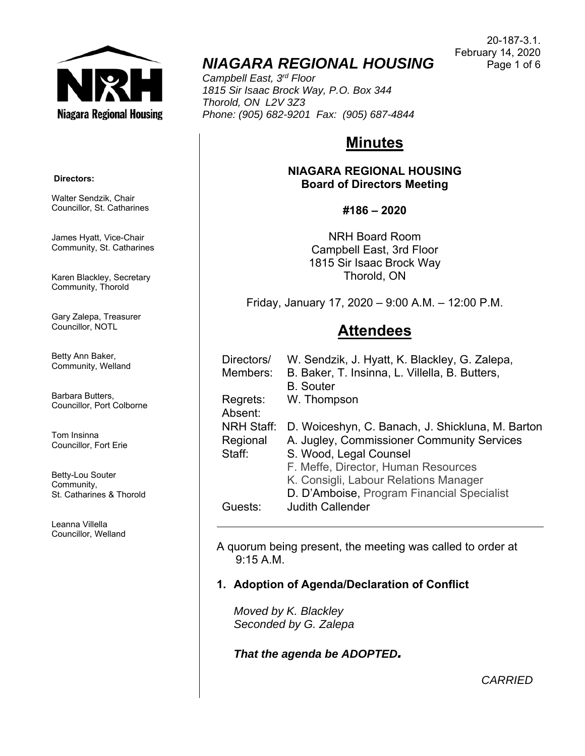

# *NIAGARA REGIONAL HOUSING*

*Campbell East, 3rd Floor 1815 Sir Isaac Brock Way, P.O. Box 344 Thorold, ON L2V 3Z3 Phone: (905) 682-9201 Fax: (905) 687-4844* 

# **Minutes**

**NIAGARA REGIONAL HOUSING Board of Directors Meeting** 

**#186 – 2020** 

NRH Board Room Campbell East, 3rd Floor 1815 Sir Isaac Brock Way Thorold, ON

Friday, January 17, 2020 – 9:00 A.M. – 12:00 P.M.

# **Attendees**

| Directors/<br>Members: | W. Sendzik, J. Hyatt, K. Blackley, G. Zalepa,<br>B. Baker, T. Insinna, L. Villella, B. Butters, |
|------------------------|-------------------------------------------------------------------------------------------------|
|                        | <b>B.</b> Souter                                                                                |
| Regrets:               | W. Thompson                                                                                     |
| Absent:                |                                                                                                 |
| <b>NRH Staff:</b>      | D. Woiceshyn, C. Banach, J. Shickluna, M. Barton                                                |
| Regional               | A. Jugley, Commissioner Community Services                                                      |
| Staff:                 | S. Wood, Legal Counsel                                                                          |
|                        | F. Meffe, Director, Human Resources                                                             |
|                        | K. Consigli, Labour Relations Manager                                                           |
|                        | D. D'Amboise, Program Financial Specialist                                                      |
| Guests:                | <b>Judith Callender</b>                                                                         |

A quorum being present, the meeting was called to order at 9:15 A.M.

## **1. Adoption of Agenda/Declaration of Conflict**

*Moved by K. Blackley Seconded by G. Zalepa* 

*That the agenda be ADOPTED.*

20-187-3.1. February 14, 2020 Page 1 of 6

 **Directors:** 

Walter Sendzik, Chair Councillor, St. Catharines

James Hyatt, Vice-Chair Community, St. Catharines

Karen Blackley, Secretary Community, Thorold

Gary Zalepa, Treasurer Councillor, NOTL

Betty Ann Baker, Community, Welland

Barbara Butters, Councillor, Port Colborne

Tom Insinna Councillor, Fort Erie

Betty-Lou Souter Community, St. Catharines & Thorold

Leanna Villella Councillor, Welland

*CARRIED*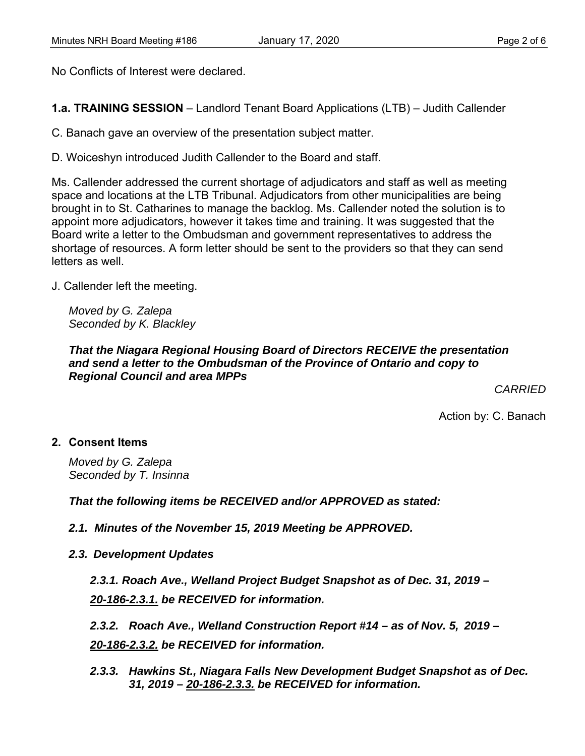No Conflicts of Interest were declared.

**1.a. TRAINING SESSION** – Landlord Tenant Board Applications (LTB) – Judith Callender

C. Banach gave an overview of the presentation subject matter.

D. Woiceshyn introduced Judith Callender to the Board and staff.

Ms. Callender addressed the current shortage of adjudicators and staff as well as meeting space and locations at the LTB Tribunal. Adjudicators from other municipalities are being brought in to St. Catharines to manage the backlog. Ms. Callender noted the solution is to appoint more adjudicators, however it takes time and training. It was suggested that the Board write a letter to the Ombudsman and government representatives to address the shortage of resources. A form letter should be sent to the providers so that they can send letters as well.

J. Callender left the meeting.

*Moved by G. Zalepa Seconded by K. Blackley* 

### *That the Niagara Regional Housing Board of Directors RECEIVE the presentation and send a letter to the Ombudsman of the Province of Ontario and copy to Regional Council and area MPPs*

*CARRIED* 

Action by: C. Banach

## **2. Consent Items**

*Moved by G. Zalepa Seconded by T. Insinna* 

*That the following items be RECEIVED and/or APPROVED as stated:* 

*2.1. Minutes of the November 15, 2019 Meeting be APPROVED.* 

*2.3. Development Updates*

*2.3.1. Roach Ave., Welland Project Budget Snapshot as of Dec. 31, 2019 – 20-186-2.3.1. be RECEIVED for information.* 

*2.3.2. Roach Ave., Welland Construction Report #14 – as of Nov. 5, 2019 – 20-186-2.3.2. be RECEIVED for information.* 

*2.3.3. Hawkins St., Niagara Falls New Development Budget Snapshot as of Dec. 31, 2019 – 20-186-2.3.3. be RECEIVED for information.*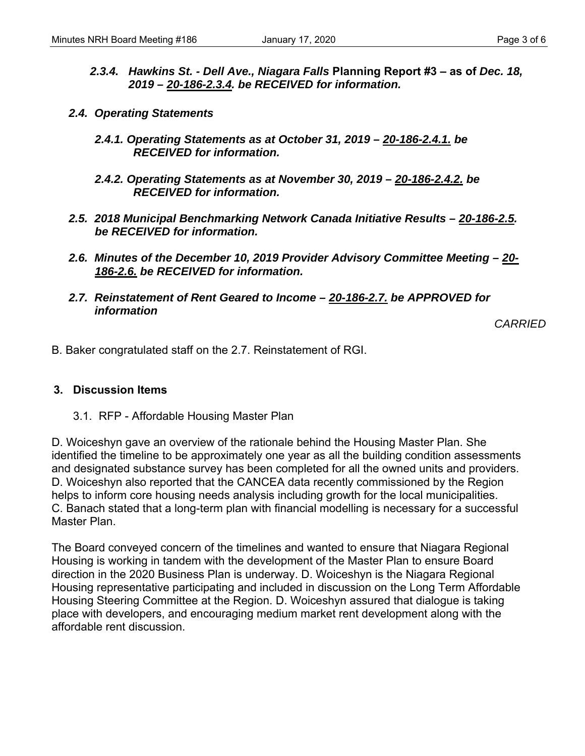- *2.3.4. Hawkins St. Dell Ave., Niagara Falls* **Planning Report #3 as of** *Dec. 18, 2019 – 20-186-2.3.4. be RECEIVED for information.*
- *2.4. Operating Statements* 
	- *2.4.1. Operating Statements as at October 31, 2019 20-186-2.4.1. be RECEIVED for information.*
	- *2.4.2. Operating Statements as at November 30, 2019 20-186-2.4.2. be RECEIVED for information.*
- *2.5. 2018 Municipal Benchmarking Network Canada Initiative Results 20-186-2.5. be RECEIVED for information.*
- *2.6. Minutes of the December 10, 2019 Provider Advisory Committee Meeting 20- 186-2.6. be RECEIVED for information.*
- *2.7. Reinstatement of Rent Geared to Income 20-186-2.7. be APPROVED for information*

*CARRIED* 

B. Baker congratulated staff on the 2.7. Reinstatement of RGI.

#### **3. Discussion Items**

3.1. RFP - Affordable Housing Master Plan

D. Woiceshyn gave an overview of the rationale behind the Housing Master Plan. She identified the timeline to be approximately one year as all the building condition assessments and designated substance survey has been completed for all the owned units and providers. D. Woiceshyn also reported that the CANCEA data recently commissioned by the Region helps to inform core housing needs analysis including growth for the local municipalities. C. Banach stated that a long-term plan with financial modelling is necessary for a successful Master Plan.

The Board conveyed concern of the timelines and wanted to ensure that Niagara Regional Housing is working in tandem with the development of the Master Plan to ensure Board direction in the 2020 Business Plan is underway. D. Woiceshyn is the Niagara Regional Housing representative participating and included in discussion on the Long Term Affordable Housing Steering Committee at the Region. D. Woiceshyn assured that dialogue is taking place with developers, and encouraging medium market rent development along with the affordable rent discussion.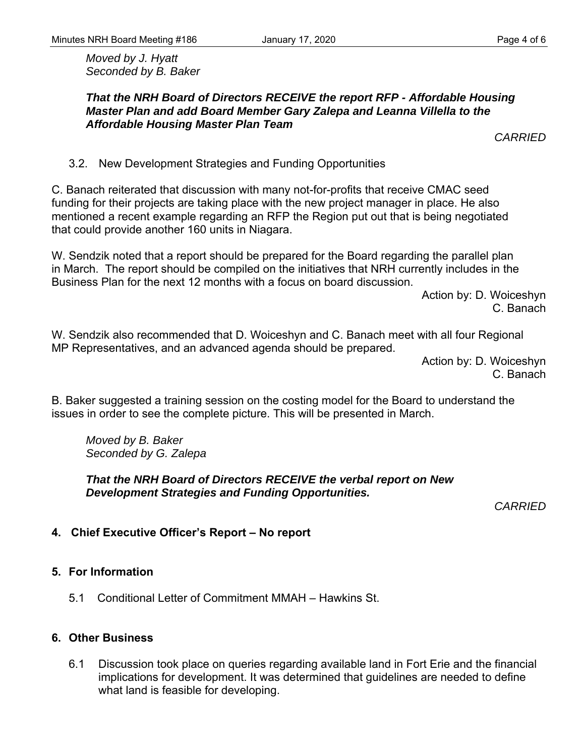*Moved by J. Hyatt Seconded by B. Baker* 

*CARRIED* 

3.2. New Development Strategies and Funding Opportunities

C. Banach reiterated that discussion with many not-for-profits that receive CMAC seed funding for their projects are taking place with the new project manager in place. He also mentioned a recent example regarding an RFP the Region put out that is being negotiated that could provide another 160 units in Niagara.

W. Sendzik noted that a report should be prepared for the Board regarding the parallel plan in March. The report should be compiled on the initiatives that NRH currently includes in the Business Plan for the next 12 months with a focus on board discussion.

> Action by: D. Woiceshyn C. Banach

W. Sendzik also recommended that D. Woiceshyn and C. Banach meet with all four Regional MP Representatives, and an advanced agenda should be prepared.

> Action by: D. Woiceshyn C. Banach

B. Baker suggested a training session on the costing model for the Board to understand the issues in order to see the complete picture. This will be presented in March.

*Moved by B. Baker Seconded by G. Zalepa* 

*That the NRH Board of Directors RECEIVE the verbal report on New Development Strategies and Funding Opportunities.* 

*CARRIED* 

# **4. Chief Executive Officer's Report – No report**

## **5. For Information**

5.1 Conditional Letter of Commitment MMAH – Hawkins St.

### **6. Other Business**

6.1 Discussion took place on queries regarding available land in Fort Erie and the financial implications for development. It was determined that guidelines are needed to define what land is feasible for developing.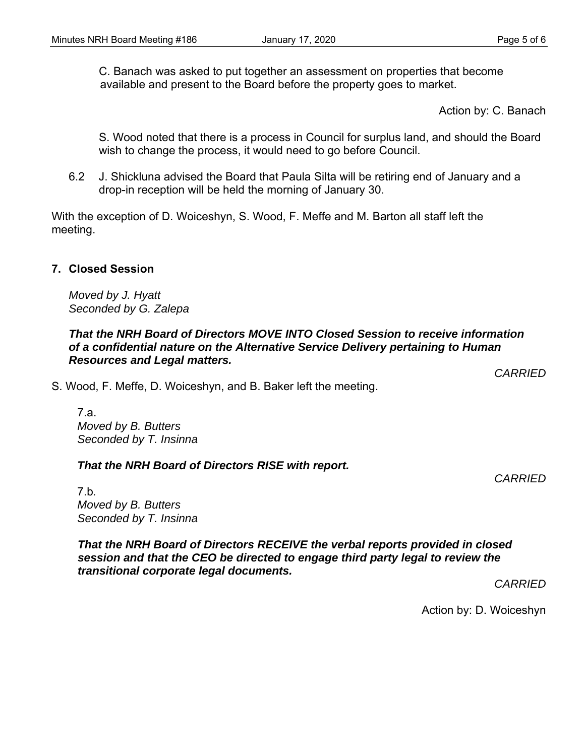C. Banach was asked to put together an assessment on properties that become available and present to the Board before the property goes to market.

Action by: C. Banach

S. Wood noted that there is a process in Council for surplus land, and should the Board wish to change the process, it would need to go before Council.

6.2 J. Shickluna advised the Board that Paula Silta will be retiring end of January and a drop-in reception will be held the morning of January 30.

With the exception of D. Woiceshyn, S. Wood, F. Meffe and M. Barton all staff left the meeting.

### **7. Closed Session**

*Moved by J. Hyatt Seconded by G. Zalepa* 

### *That the NRH Board of Directors MOVE INTO Closed Session to receive information of a confidential nature on the Alternative Service Delivery pertaining to Human Resources and Legal matters.*

S. Wood, F. Meffe, D. Woiceshyn, and B. Baker left the meeting.

7.a. *Moved by B. Butters Seconded by T. Insinna* 

*That the NRH Board of Directors RISE with report.* 

*CARRIED* 

7.b*. Moved by B. Butters Seconded by T. Insinna* 

*That the NRH Board of Directors RECEIVE the verbal reports provided in closed session and that the CEO be directed to engage third party legal to review the transitional corporate legal documents.* 

*CARRIED* 

Action by: D. Woiceshyn

*CARRIED*